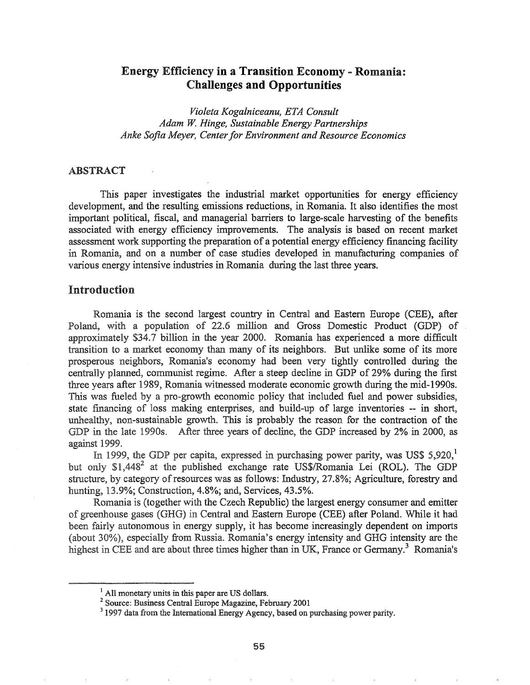# Energy Efficiency in a Transition Economy - Romania: Challenges and Opportunities

*Violeta Kogalniceanu, ETA Consult Adam W. Hinge, Sustainable Energy Partnerships Anke Sofia Meyer, Centerfor Environment and Resource Economics*

## ABSTRACT

This paper investigates the industrial market opportunities for energy efficiency development, and the resulting emissions reductions, in Romania. It also identifies the most important political, fiscal, and managerial barriers to large-scale harvesting of the benefits associated with energy efficiency improvements.. The analysis is based on recent market assessment work supporting the preparation of a potential energy efficiency financing facility in Romania, and on a number of case studies developed in manufacturing companies of various energy intensive industries in Romania during the last three years..

### Introduction

Romania is the second largest country in Central and Eastern Europe (CEE), after Poland, with a population of 22.6 million and Gross Domestic Product (GDP) of approximately \$34.7 billion in the year 2000. Romania has experienced a more difficult transition to a market economy than many of its neighbors" But unlike some of its more prosperous neighbors, Romania's economy had been very tightly controlled during the centrally planned, communist regime. After a steep decline in GDP of 29% during the first three years after 1989, Romania witnessed moderate economic growth during the mid-l 990s. This was fueled by a pro-growth economic policy that included fuel and power subsidies, state financing of loss making enterprises, and build-up of large inventories -- in short, unhealthy, non-sustainable growth. This is probably the reason for the contraction of the GDP in the late 1990s. After three years of decline, the GDP increased by 2% in 2000, as against 1999.

In 1999, the GDP per capita, expressed in purchasing power parity, was US\$ 5,920, $^1$ but only  $$1,448^2$  at the published exchange rate US\$/Romania Lei (ROL). The GDP structure, by category of resources was as follows: Industry, 27.8%; Agriculture, forestry and hunting, 13.9%; Construction, 4.8%; and, Services, 43.5%.

Romania is (together with the Czech Republic) the largest energy consumer and emitter of greenhouse gases (GHG) in Central and Eastern Europe (CEE) after Poland. While it had been fairly autonomous in energy supply, it has become increasingly dependent on imports 30%), especially from Russia.. Romania's energy intensity and GHG intensity are the highest in CEE and are about three times higher than in UK, France or Germany.<sup>3</sup> Romania's

<sup>&</sup>lt;sup>1</sup> All monetary units in this paper are US dollars.

<sup>2</sup> Source: Business Central Europe Magazine, February 2001

<sup>&</sup>lt;sup>3</sup> 1997 data from the International Energy Agency, based on purchasing power parity.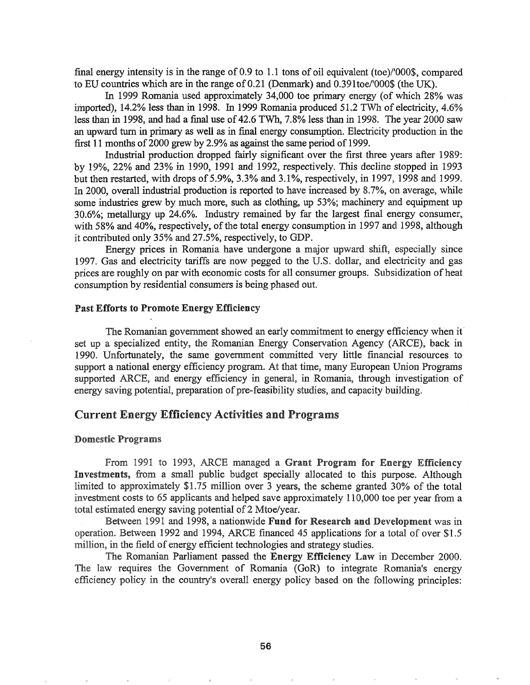final energy intensity is in the range of 0.9 to 1.1 tons of oil equivalent (toe)/'000\$, compared to ED countries which are in the range of 0.21 (Denmark) and O.391toe/'OOO\$ (the UK).

In 1999 Romania used approximately 34,000 toe primary energy (of which 28% was imported), 14.2% less than in 1998. In 1999 Romania produced 51.2 TWh of electricity, 4.6% less than in 1998, and had a final use of 42.6 TWh, 7.8% less than in 1998. The year 2000 saw an upward turn in primary as well as in final energy consumption. Electricity production in the first 11 months of 2000 grew by 2.9% as against the same period of 1999.

Industrial production dropped fairly significant over the frrst three years after 1989: by 19%, 22% and 23% in 1990, 1991 and 1992, respectively. This decline stopped in 1993 but then restarted, with drops of 5.9%, 3.3% and 3.1%, respectively, in 1997, 1998 and 1999. In 2000, overall industrial production is reported to have increased by 8.7%, on average, while some industries grew by much more, such as clothing, up 53%; machinery and equipment up 30.6%; metallurgy up 24.6%. Industry remained by far the largest final energy consumer, with 58% and 40%, respectively, of the total energy consumption in 1997 and 1998, although it contributed only 35% and 27.5%, respectively, to GDP.

Energy prices in Romania have undergone a major upward shift, especially since 1997. Gas and electricity tariffs are now pegged to the U.S. dollar, and electricity and gas prices are roughly on par with economic costs for all consumer groups. Subsidization ofheat consumption by residential consumers is being phased out

#### Past Efforts to Promote Energy Efficiency

The Romanian government showed an early commitment to energy efficiency when itset up a specialized entity, the Romanian Energy Conservation Agency (ARCE), back in 1990. Unfortunately, the same government committed very little financial resources to support a national energy efficiency program. At that time, many European Union Programs supported ARCE, and energy efficiency in general, in Romania, through investigation of energy saving potential, preparation of pre-feasibility studies, and capacity building.

## Current Energy Efficiency Activities and Programs

#### **Domestic Programs**

From 1991 to 1993, ARCE managed a Grant Program for Energy Efficiency Investments, from a small public budget specially allocated to this purpose. Although limited to approximately \$1.75 million over 3 years, the scheme granted  $30\%$  of the total investment costs to 65 applicants and helped save approximately 110,000 toe per year from a total estimated energy saving potential of 2 Mtoe/year.

Between 1991 and 1998, a nationwide Fund for Research and Development was in operation. Between 1992 and 1994, ARCE fmanced 45 applications for a total of over \$1.5 million, in the field of energy efficient technologies and strategy studies.

The Romanian Parliament passed the Energy Efficiency Law in December 2000. The law requires the Government of Romania (GoR) to integrate Romania's energy efficiency policy in the country's overall energy policy based on the following principles: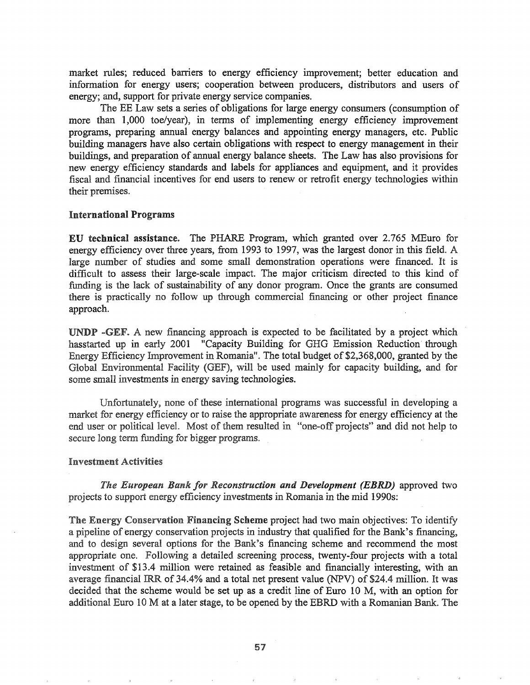market rules; reduced barriers to energy efficiency improvement; better education and information for energy users; cooperation between producers, distributors and users of energy; and, support for private energy service companies.

The EE Law sets a series of obligations for large energy consumers (consumption of more than 1,000 toe/year), in terms of implementing energy efficiency improvement programs, preparing annual energy balances and appointing energy managers, etc. Public building managers have also certain obligations with respect to energy management in their buildings, and preparation of annual energy balance sheets. The Law has also provisions for new energy efficiency standards and labels for appliances and equipment, and it provides fiscal and financial incentives for end users to renew or retrofit energy technologies within their premises.

#### **International Programs**

EU technical assistance. The PHARE Program, which granted over 2.765 MEuro for energy efficiency over three years, from 1993 to 1997, was the largest donor in this field. A large number of studies and some small demonstration operations were financed. It is difficult to assess their large-scale impact. The major criticism directed to this kind of funding is the lack of sustainability of any donor program. Once the grants are consumed there is practically no follow up through commercial financing or other project finance approach.

UNDP -GEF. A new financing approach is expected to be facilitated by a project which hasstarted up in early 2001 "Capacity Building for GHG Emission Reduction through Energy Efficiency Improvement in Romania". The total budget of \$2,368,000, granted by the Global Environmental Facility (GEF), will be used mainly for capacity building, and for some small investments in energy saving technologies.

Unfortunately, none of these international programs was successful in developing a market for energy efficiency or to raise the appropriate awareness for energy efficiency at the end user or political level. Most of them resulted in "one-off projects" and did not help to secure long term funding for bigger programs.

#### **Investment Activities**

**The European Bank for Reconstruction and Development (EBRD) approved two** projects to support energy efficiency investments in Romania in the mid 1990s:

The Energy Conservation Financing Scheme project had two main objectives: To identify a pipeline of energy conservation projects in industry that qualified for the Bank's financing, and to design several options for the Bank's financing scheme and recommend the most appropriate one. Following a detailed screening process, twenty-four projects with a total investment of \$13.4 million were retained as feasible and financially interesting, with an average fmancial IRR of 34.4% and a total net present value (NPV) of \$24.4 million. It was decided that the scheme would be set up as a credit line of Euro 10 M, with an option for additional Euro 10 M at a later stage, to be opened by the EBRD with a Romanian Bank. The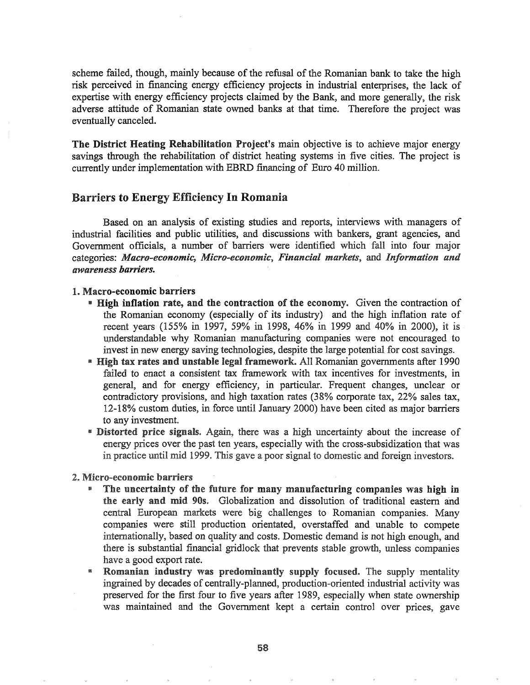scheme failed, though, mainly because of the refusal of the Romanian bank to take the high risk perceived in financing energy efficiency projects in industrial enterprises, the lack of expertise with energy efficiency projects claimed by the Bank, and more generally, the risk adverse attitude of Romanian state owned banks at that time. Therefore the project was eventually canceled.

The District Heating Rehabilitation Project's main objective is to achieve major energy savings through the rehabilitation of district heating systems in five cities. The project is currently under implementation with EBRD financing of Euro 40 million.

## Barriers to Energy Efficiency In Romania

Based on an analysis of existing studies and reports, interviews with managers of industrial facilities and public utilities, and discussions with bankers, grant agencies, and Government officials, a number of barriers were identified which fall into four major categories: *Macro-economic, Micro-economic, Financial markets,* and *Information and awareness* barriers~

### 1. Macro-economic barriers

- If High inflation rate, and the contraction of the economy. Given the contraction of the Romanian economy (especially of its industry) and the high inflation rate of recent years (155% in 1997, 59% in 1998, 46% in 1999 and 40% in 2000), it is understandable why Romanian manufacturing companies were not encouraged to invest in new energy saving technologies, despite the large potential for cost savings.
- \* High tax rates and unstable legal framework. All Romanian governments after 1990 failed to enact a consistent tax framework with tax incentives for investments, in general, and for energy efficiency, in particular. Frequent changes, unclear or contradictory provisions, and high taxation rates (38% corporate tax, 22% sales tax, 12-18% custom duties, in force until January 2000) have been cited as major barriers to any investment.
- **Exercise 1** Distorted price signals. Again, there was a high uncertainty about the increase of energy prices over the past ten years, especially with the cross-subsidization that was in practice until mid 1999. This gave a poor signal to domestic and foreign investors.

#### 2. Micro-economic barriers

- The uncertainty of the future for many manufacturing companies was high in the early and mid 90s. Globalization and dissolution of traditional eastern and central European markets were big challenges to Romanian companies. Many companies were still production orientated, overstaffed and unable to compete internationally, based on quality and costs. Domestic demand is not high enough, and there is substantial financial gridlock that prevents stable growth, unless companies have a good export rate.
- <sup>8</sup> Romanian industry was predominantly supply focused. The supply mentality ingrained by decades of centrally-planned, production-oriented industrial activity was preserved for the first four to five years after 1989, especially when state ownership was maintained and the Government kept a certain control over prices, gave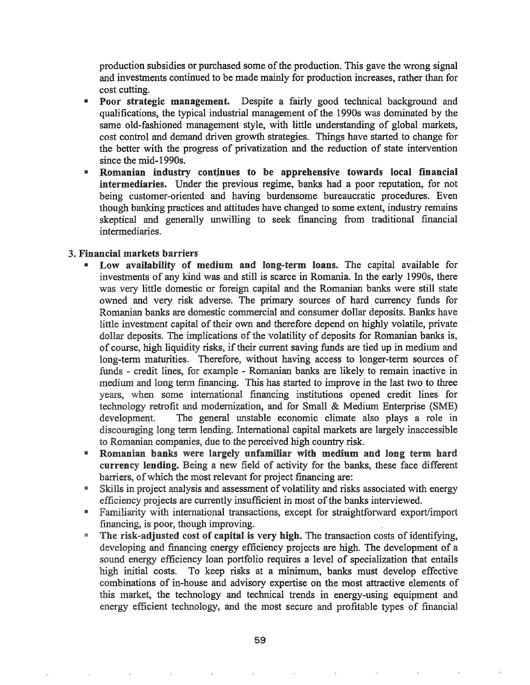production subsidies or purchased some of the production. This gave the wrong signal and investments continued to be made mainly for production increases, rather than for cost cutting.

- Poor strategic management. Despite a fairly good technical background and qualifications, the typical industrial management of the 1990s was dominated by the same old-fashioned management style, with little understanding of global markets, cost control and demand driven growth strategies. Things have started to change for the better with the progress of privatization and the reduction of state intervention since the mid-1990s.
- Romanian industry continues to be apprehensive towards local financial intermediaries. Under the previous regime, banks had a poor reputation, for not being customer-oriented and having burdensome bureaucratic procedures. Even though banking practices and attitudes have changed to some extent, industry remains skeptical and generally unwilling to seek financing from traditional financial intermediaries.

### 3. Financial markets barriers

- Low availability of medium and long-term loans. The capital available for investments of any kind was and still is scarce in Romania. In the early 1990s, there was very little domestic or foreign capital and the Romanian banks were still state owned and very risk adverse. The primary sources of hard currency funds for Romanian panks are domestic commercial and consumer dollar deposits. Banks have little investment capital of their own and therefore depend on highly volatile, private dollar deposits. The implications of the volatility of deposits for Romanian banks is, of course, high liquidity risks, if their current saving funds are tied up in medium and long-term maturities. Therefore, without having access to longer-term sources of funds - credit lines, for example - Romanian banks are likely to remain inactive in medium and long term financing. This has started to improve in the last two to three years, when some international financing institutions opened credit lines for technology retrofit and modernization, and for Small & Medium Enterprise (SME) development. The general unstable economic climate also plays a role in discouraging long term lending. International capital markets are largely inaccessible to Romanian companies, due to the perceived high country risk.
- **n** Romanian banks were largely unfamiliar with medium and long term hard currency lending. Being a new field of activity for the banks, these face different barriers, of which the most relevant for project financing are:
- Skills in project analysis and assessment of volatility and risks associated with energy efficiency projects are currently insufficient in most ofthe banks interviewed.
- m Familiarity with international transactions, except for straightforward export/import financing, is poor, though improving.
- **The risk-adjusted cost of capital is very high.** The transaction costs of identifying, developing and financing energy efficiency projects are high. The development of a sound energy efficiency loan portfolio requires a level of specialization that entails high initial costs. To keep risks at a minimum, banks must develop effective combinations of in-house and advisory expertise on the most attractive elements of this market, the technology and technical trends in energy-using equipment and energy efficient technology, and the most secure and profitable types of financial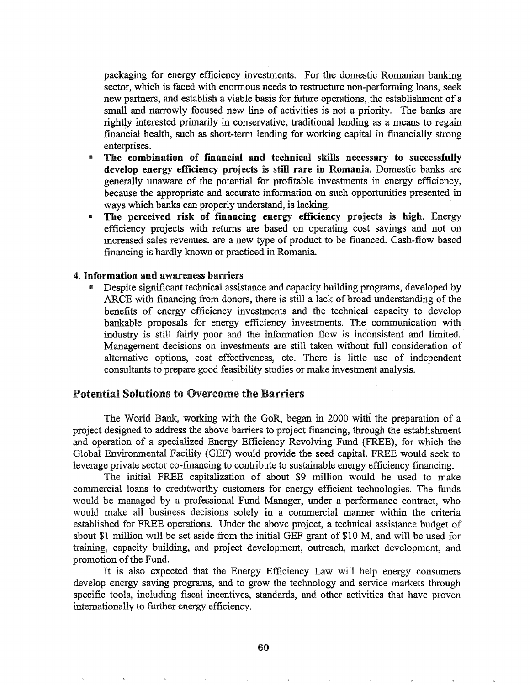packaging for energy efficiency investments. For the domestic Romanian banking sector, which is faced with enormous needs to restructure non-perfonning loans, seek new partners, and establish a viable basis for future operations, the establishment of a small and narrowly focused new line of activities is not a priority. The banks are rightly interested primarily in conservative, traditional lending as a means to regain fmancial health, such as short-term lending for working capital in financially strong enterprises.

- " The combination of financial and technical skills necessary to successfully develop energy efficiency projects is still rare in Romania. Domestic banks are generally unaware of the potential for profitable investments in energy efficiency, because the appropriate and accurate infonnation on such opportunities presented in ways which banks can properly understand, is lacking. .
- **IF The perceived risk of financing energy efficiency projects is high.** Energy efficiency projects with returns are based on operating cost savings and not on increased sales revenues. are a new type of product to be financed. Cash-flow based financing is hardly known or practiced in Romania.

#### 4. Information and awareness barriers

Despite significant technical assistance and capacity building programs, developed by ARCE with financing from donors, there is still a lack of broad understanding of the benefits of energy efficiency investments and the technical capacity to develop bankable proposals for energy efficiency investments. The communication with industry is still fairly poor and the information flow is inconsistent and limited. Management decisions on investments are still taken without full consideration of alternative options, cost effectiveness, etc. There is little use of independent consultants to prepare good feasibility studies or make investment analysis.

## Potential Solutions to Overcome the Barriers

The World Bank, working with the GoR, began in 2000 with the preparation of a project designed to address the above barriers to project financing, through the establishment and operation of a specialized Energy Efficiency Revolving Fund (FREE), for which the Global Environmental Facility (GEF) would provide the seed capital. FREE would seek to leverage private sector co-financing to contribute to sustainable energy efficiency financing.

The initial FREE capitalization of about \$9 million would be used to make commercial loans to creditworthy customers for energy efficient technologies. The funds would be managed by a professional Fund Manager, under a performance contract, who would. make all business decisions solely in a commercial manner within the criteria established for FREE operations. Under the above project, a technical assistance budget of about \$1 million will be set aside from the initialGEF grant of \$10 M, and will be used for training, capacity building, and project development, outreach, market development, and promotion of the Fund.

It is also expected that the Energy Efficiency Law will help energy consumers develop energy saving programs, and to grow the technology and service markets through specific tools, including fiscal incentives, standards, and other activities that have proven internationally to further energy efficiency.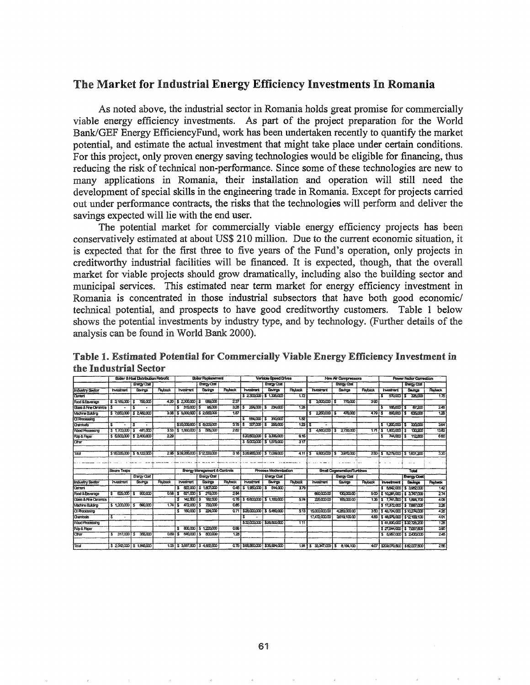## The Market for Industrial Energy Efficiency Investments In Romania

As noted above, the industrial sector in Romania holds great promise for commercially viable energy efficiency investments~ As part of the project preparation for the World Bank/GEF Energy EfficiencyFund, work has been undertaken recently to quantify the market potential, and estimate the actual investment that might take place under certain conditions. For this project, only proven energy saving technologies would be eligible for financing, thus reducing the risk of technical non-performance. Since some of these technologies are new to many applications in Romania, their installation and operation will still need the development of special skills in the engineering trade in Romania. Except for projects carried out under performance contracts, the risks that the technologies will perform and deliver the savings expected will lie with the end user.

The potential market for commercially viable energy efficiency projects has been conservatively estimated at about US\$ 210 million. Due to the current economic situation, it is expected that for the first three to five years of the Fund's operation, only projects in creditworthy industrial facilities will be financed. It is expected, though, that the overall market for viable projects should grow dramatically, including also the building sector and municipal services. This estimated near term market for energy efficiency investment in Romania is concentrated in those industrial subsectors that have both good economic/ technical potential, and prospects to have good creditworthy customers. Table 1 below shows the potential investments by industry type, and by technology. (Further details of the analysis can be found in World Bank 2000).

|                                 | <b>Floiler &amp; Hoat Distribution Retrofit</b> |                           |                | <b>Boiler Replacement</b>               |                    |                | Variable Speed Drives              |                          |                  | <b>New Air Compressors</b>  |                   |                | <b>Power Fector Correction</b>      |                    |                |
|---------------------------------|-------------------------------------------------|---------------------------|----------------|-----------------------------------------|--------------------|----------------|------------------------------------|--------------------------|------------------|-----------------------------|-------------------|----------------|-------------------------------------|--------------------|----------------|
|                                 |                                                 | <b>Energy Cost</b>        |                |                                         | Ensino Cost        |                |                                    | <b>Energy Cost</b>       |                  |                             | <b>Ensay Cost</b> |                |                                     | <b>Brangy Cost</b> |                |
| <b>Industry Sector</b>          | <b>Investment</b>                               | Savings                   | <b>Raybeck</b> | <b>hvestment</b>                        | Saings             | <b>Paybeck</b> | <b>Investment</b>                  | Savings                  | <b>Flaybox x</b> | <b>h</b> esimi              | Savings           | <b>Rayback</b> | <b>hyestment</b>                    | Savings            | <b>Reybeck</b> |
| <b>Carrent</b>                  |                                                 |                           |                |                                         |                    |                | \$2300000                          | <b>S</b> 1336000         | 172              |                             |                   |                | 570000                              | 326,000<br>s       | 175            |
| Food & Baverage                 | \$316500                                        | 759.000<br>۱s             | 420            | <u>ISZ300000</u> 1\$                    | 999,000            | 237            |                                    |                          |                  | 3000.0001\$<br>s            | 770000            | उक्र           |                                     |                    |                |
| Gass & Fire Otramcs             |                                                 |                           |                | 31500015<br>т                           | 95,000             | 328            | 294,000                            | 234,000                  | 1.26             |                             |                   |                | 165.000<br>т                        | 6720               | 246            |
| Machine Bulding                 |                                                 | \$7,650,000   \$2,482,000 |                | 3.08   \$5,000,000   \$2,680,000        |                    | 1.87           |                                    |                          |                  | 22500013                    | 470,000           | 47915          | 800,000                             | 635,000            | ক্লো           |
| <b>CI Rocessing</b>             |                                                 |                           |                |                                         |                    |                | E64.000                            | 310000                   | 砸                |                             |                   |                |                                     |                    |                |
| Chemicals                       |                                                 | т                         |                | \$30,000,000   \$8,000,000              |                    | 37515          | 307,00015                          | 250,000                  | 12315            |                             |                   |                | 1200,000<br>х.                      | 330,000            | 354            |
| Wood Rocessing                  | 5.70000                                         | 481.000<br>l S            |                | 353   \$ 1,650,000   \$                 | 555,000            | 262            |                                    |                          |                  | 4680000<br>τ                | 2730000<br>3      | 17115          | 1,800,000                           | 130.200<br>s       | 13.82          |
| <b>Pulp &amp; Paper</b>         | \$5500.000                                      | IS 2400000                | 229            |                                         |                    |                | \$20,500,000                       | \$3335.000               | 615              |                             |                   |                | 744000<br>s                         | 112.800            | 660            |
| Cther                           |                                                 |                           |                |                                         |                    |                |                                    | \$5000,000   \$1,5/5,000 | 317              |                             |                   |                |                                     |                    |                |
|                                 |                                                 |                           |                |                                         |                    |                |                                    |                          |                  |                             |                   |                |                                     |                    |                |
| Total                           |                                                 | S18035000 S 6122000       |                | 2951 \$30,255,000 \$12,330,000          |                    |                | 318   \$2896000   \$7,039000       |                          | 41115            | 9930000                     | 3.970.000<br>s    |                | 250 \$ 5279,000 \$ 1.801,200        |                    | 330            |
|                                 |                                                 |                           |                |                                         |                    |                |                                    |                          |                  |                             |                   |                |                                     |                    |                |
|                                 |                                                 |                           |                |                                         |                    |                |                                    |                          |                  |                             |                   |                |                                     |                    |                |
|                                 | Steam Traces                                    |                           |                | <b>Energy Management &amp; Controls</b> |                    |                | <b>Process Modernization</b>       |                          |                  | Small Coconeration/Turbines |                   |                | Total                               |                    |                |
|                                 |                                                 | <b>Energy Chat</b>        |                |                                         | <b>Energy Cost</b> |                |                                    | <b>Energy Cost</b>       |                  |                             | Erenov Cost       |                |                                     | <b>Bretgy Cost</b> |                |
| <b>Industry Sector</b>          | <b>Investment</b>                               | Savings                   | Paybook        | investment                              | Sovings            | Payback        | <b>Investment</b>                  | Savings                  | Peybeck          | <i><b>Investment</b></i>    | Savings           | Pateck         | <b>Investment</b>                   | <b>Savings</b>     | <b>Payback</b> |
| Cement                          |                                                 |                           |                | 822.000<br>3.                           | \$1007,000         |                | 0.45   \$1,950,000   \$            | 614000                   | 379              |                             |                   |                | \$5642000                           | \$3,982,000        | 142            |
| Food & Beverage                 | 525,000                                         | <b>ECO.COO</b><br>l S     | $0.56$ $S$     | 621000                                  | 219,000<br>i S     | 284            |                                    |                          |                  | <b>CED COOLED</b>           | 130,000.00        |                | 500   \$10.261,000   \$3,747,000    |                    | 274            |
| <b>Gass &amp; Fire Cerarios</b> |                                                 |                           |                | $142,500$ \$                            | 182500             |                | 0.78   \$6,600,000   \$1,150,000   |                          | 574              | 225000.00                   | 165000.00         |                | 1.36 \$ 7.741,500 \$ 1.894,700      |                    | 409            |
| Madrie Bulding                  | \$1,200,000 [\$                                 | 690,000                   | $174$ S        | 472000                                  | 730,000            | 065            |                                    |                          |                  |                             |                   |                | \$17,372,000   \$7,687,000          |                    | 226            |
| Ci Rocessing                    |                                                 |                           |                | 160,000   \$                            | 224.000            |                | 0.71   \$28,000,000   \$ 5,460,000 |                          | 513              | 15000.000                   | 42800000          |                | 350 \$43,724,000 \$10,274,000       |                    | 426            |
| <b>Chemicals</b>                | ٠                                               |                           |                |                                         |                    |                |                                    |                          |                  | 17472000.00                 | 3619,100,00       |                | 483   \$48978000   \$12198100       |                    | 401            |
| Wood Rocessing                  |                                                 |                           |                |                                         |                    |                | \$32,000,000                       | 1526800.000              | 111              |                             |                   |                | \$41,830,000 \$32,726,200           |                    | 126            |
| <b>Pulp &amp; Report</b>        |                                                 |                           |                | <b>BOO.COD</b>                          | 5122000            | 0.66           |                                    |                          |                  |                             |                   |                | \$27,544,000   \$7,067,800          |                    | 390            |
| <b>Cher</b>                     | 317,000                                         | 355,000<br>۱S             | $0.091$ \$     | 64000015                                | 500,000            | 1.20           |                                    |                          |                  |                             |                   |                | \$6957,000 \$2430,000               |                    | 245            |
|                                 |                                                 |                           |                |                                         |                    |                |                                    |                          |                  |                             |                   |                |                                     |                    |                |
| Toda                            |                                                 | \$2042000 \$1,945000      |                | 1.05   \$ 3,657,500   \$ 4,692,500      |                    |                | 0.75   \$68,550,000   \$35,924,000 |                          |                  | $1.9115$ 33347,000 $15$     | 8,194,100         |                | 4.07   \$209,070,500   \$82,007,600 |                    | 2章             |

Table 1. Estimated Potential for Commercially Viable Energy Efficiency Investment in the Industrial Sector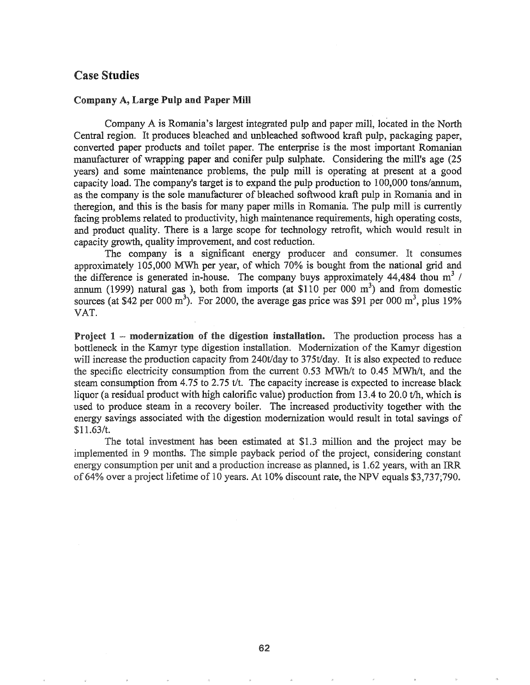## Case Studies

### Company A, Large Pulp and Paper Mill

Company A is Romania's largest integrated pulp and paper mill, located in the North Central region. It produces bleached and unbleached softwood kraft pulp, packaging paper, converted paper products and toilet paper. The enterprise is the most important Romanian manufacturer of wrapping paper and conifer pulp sulphate. Considering the mill's age (25 years) and some maintenance problems, the pulp mill is operating at present at a good capacity load. The company's target is to expand the pulp production to 100,000 tons/annum, as the company is the sole manufacturer of bleached softwood kraft pulp in Romania and in theregion, and this is the basis for many paper mills in Romania. The pulp mill is currently facing problems related to productivity, high maintenance requirements, high operating costs, and product quality. There is a large scope fot technology retrofit, which would result in capacity growth, quality improvement, and cost reduction.

The company is a significant energy producer and consumer. It consumes approximately 105,000 MWh per year, of which 70% is bought from the national grid and the difference is generated in-house. The company buys approximately 44,484 thou  $m^3$  / annum (1999) natural gas ), both from imports (at \$110 per 000 m<sup>3</sup>) and from domestic sources (at \$42 per 000 m<sup>3</sup>). For 2000, the average gas price was \$91 per 000 m<sup>3</sup>, plus 19% VAT.

Project  $1$  -- modernization of the digestion installation. The production process has a bottleneck in the Kamyr type digestion installation. Modernization of the Kamyr digestion will increase the production capacity from  $240t/day$  to  $375t/day$ . It is also expected to reduce the specific electricity consumption from the current 0.53 MWh/t to 0.45 MWh/t, and the steam consumption from 4.75 to 2.75 *tit.* The capacity increase is expected to increase black liquor (a residual product with high calorific value) production from 13.4 to 20.0 t/h, which is used to produce steam in a recovery boiler. The increased productivity together with the energy savings associated with the digestion modernization would result in total savings of \$11.63/t.

The total investment has been estimated at \$1.3 million and the project may be implemented in 9 months. The simple payback period of the project, considering constant energy consumption per unit and a production increase as planned, is  $1.62$  years, with an IRR of 64% over a project lifetime of 10 years. At  $10\%$  discount rate, the NPV equals \$3,737;790.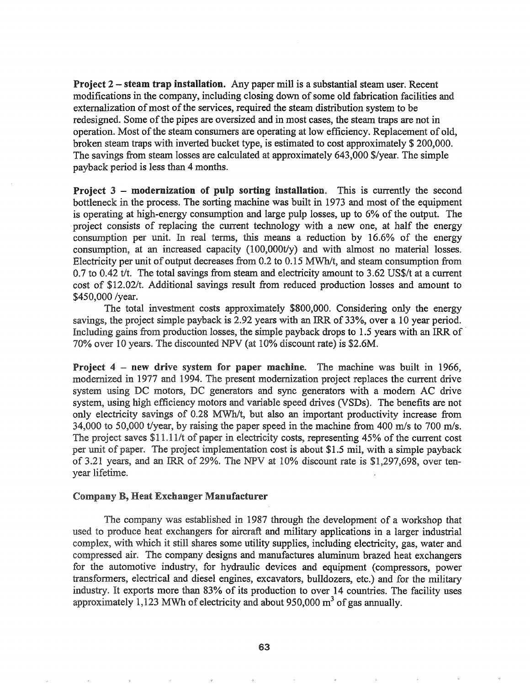Project 2 – steam trap installation. Any paper mill is a substantial steam user. Recent modifications in the company, including closing down of some old fabrication facilities and externalization of most of the services, required the steam distribution system to be redesigned. Some of the pipes are oversized and in most cases, the steam traps are not in operation. Most of the steam consumers are operating at low efficiency. Replacement of old, broken steam traps with inverted bucket type, is estimated to cost approximately \$ 200,000. The savings from steam losses are calculated at approximately 643,000 \$/year. The simple payback period is less than 4 months.

**Project 3 - modernization of pulp sorting installation.** This is currently the second bottleneck in the process. The sorting machine was built in 1973 and most of the equipment is operating at high-energy consumption and large pulp losses, up to 6% of the output. The 'project consists of replacing the current technology with a new one, at half the energy consumption per unit. In real tenns, this means a reduction by 16.6% of the energy consumption, at an increased capacity (100,000t/y) and with almost no material losses. Electricity per unit of output decreases from  $0.2$  to  $0.15$  MWh/t, and steam consumption from 0.7 to 0.42 *tit.* The total savings from steam and electricity amount to 3.62 US\$/t at a current cost of \$12.02/t. Additional sayings result from reduced production losses and amount to \$450,000 /year.

The total investment costs approximately \$800,000. Considering only the energy savings, the project simple payback is 2.92 years with an IRR of 33%, over a 10 year period. Including gains from production losses, the simple payback drops to 1.5 years with an IRR of 70% over 10 years. The discounted NPV (at 10% discount rate) is \$2.6M.

**Project 4 - new drive system for paper machine.** The machine was built in 1966, modernized in 1977 and 1994. The present modernization project replaces the current drive system using DC motors, DC generators and sync generators with a modern AC drive system, using high efficiency motors and variable speed drives (VSDs). The benefits are not only electricity savings of 0.28 MWh/t, but also an important productivity increase from 34,000 to 50,000 t/year, by raising the paper speed in the machine from 400 *mls* to 700 *mls.* The project saves  $$11.11/t$  of paper in electricity costs, representing 45% of the current cost per unit of paper. The project implementation cost is about \$1.5 mil, with a simple payback of 3.21 years, and an IRR of 29%. The NPV at 10% discount rate is  $$1,297,698$ , over tenyear lifetime.

#### Company B, Heat Exchanger Manufacturer

The company was established in 1987 through the development of a workshop that used to produce heat exchangers for aircraft and military applications in a larger industrial complex, with which it still shares some utility supplies, including electricity, gas, water and compressed air. The company designs and manufactures aluminum brazed heat exchangers for the automotive industry, for hydraulic devices and equipment (compressors, power transformers, electrical and diesel engines, excavators, bulldozers, etc.) and for the military industry. It exports more than 83% of its production to over 14 countries. The facility uses approximately 1,123 MWh of electricity and about 950,000  $m<sup>3</sup>$  of gas annually.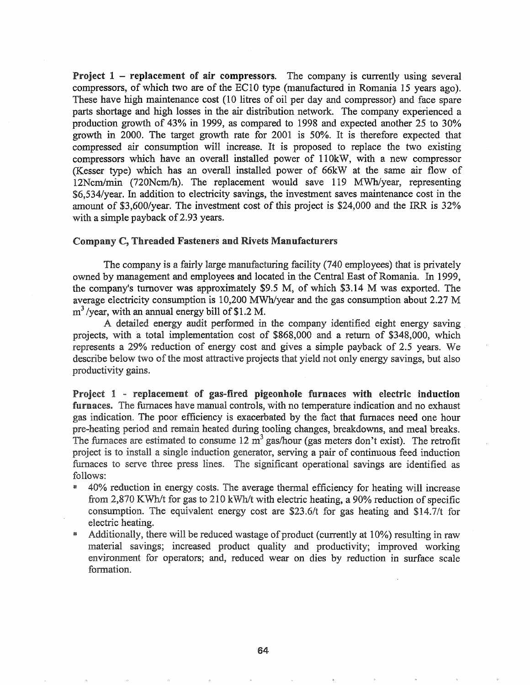**Project 1 - replacement of air compressors.** The company is currently using several compressors, of which two are of the EC10 type (manufactured in Romania 15 years ago). These have high maintenance cost (10 litres of oil per day and compressor) and face spare parts shortage and high losses in the air distribution network. The company experienced a production growth of 43% in 1999, as compared to 1998 and expected another 25 to 30% growth in 2000. The target growth rate for 2001 is 50%. It is therefore expected that compressed air consumption will increase. It is proposed to replace the two existing compressors which have an overall installed power of 110kW, with a new compressor (Kesser type) which has an overall installed power of 66kW at the same air flow of 12Ncm/min (720Ncm/h). The replacement would save 119 MWh/year, representing \$6,534/year. In addition to electricity savings, the investment saves maintenance cost in the amount of \$3,600/year. The investment cost of this project is \$24,000 and the IRR is 32% with a simple payback of 2.93 years.

#### Company C, Threaded Fasteners and Rivets Manufacturers

The company is a fairly large manufacturing facility (740 employees) that is privately owned by management and employees and located in the Central East of Romania. In 1999, the company's turnover was approximately \$9.5 M, of which \$3.14 M was exported. The average electricity consumption is 10,200 MWh/year and the gas consumption about 2.27 M  $m<sup>3</sup>$ /year, with an annual energy bill of \$1.2 M.

A detailed energy audit performed in the company identified eight energy saving projects, with a total implementation cost of \$868,000 and a return of \$348,000, which represents a 29% reduction of energy cost and gives a simple payback of 2.5 years. We describe below two of the most attractive projects that yield not only energy savings, but also productivity gains.

Project  $1$  - replacement of gas-fired pigeonhole furnaces with electric induction furnaces. The furnaces have manual controls, with no temperature indication and no exhaust gas indication. The poor efficiency is exacerbated by the fact that furnaces need one hour pre-heating period and remain heated during tooling changes, breakdowns, and meal breaks. furnaces are estimated to consume  $12 \text{ m}^3$  gas/hour (gas meters don't exist). The retrofit proiect is to install a single induction generator, serving a pair of continuous feed induction furnaces to serve three press lines. The significant operational savings are identified as follows:

- 40% reduction in energy costs. The average thermal efficiency for heating will increase from 2,870 KWh/t for gas to 210 kWh/t with electric heating, a 90% reduction of specific consumption. The equivalent energy cost are \$23.6/t for gas heating and \$14.7/t for electric heating.
- <sup>\*</sup> Additionally, there will be reduced wastage of product (currently at 10%) resulting in raw material savings; increased product quality and productivity; improved working environment for operators; and, reduced wear on dies by reduction in surface scale formation.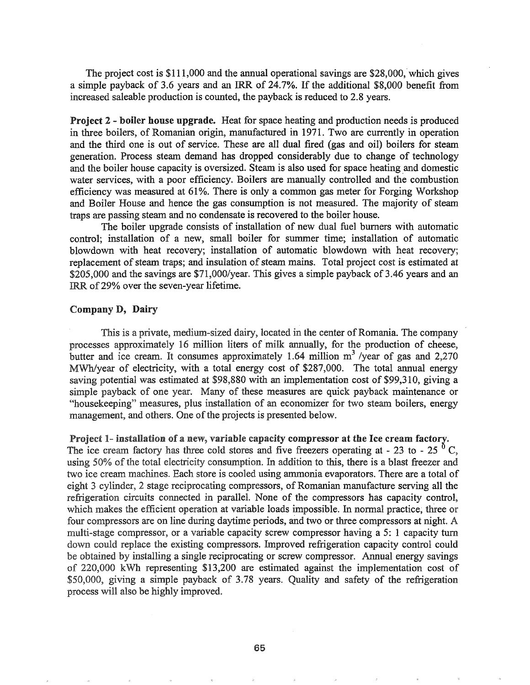The project cost is  $$111,000$  and the annual operational savings are  $$28,000$ , which gives a simple payback of 3.6 years and an IRR of 24.7%. If the additional \$8,000 benefit from increased saleable production is counted, the payback is reduced to 2.8 years.

Project 2 - boiler house upgrade. Heat for space heating and production needs is produced in three boilers, of Romanian origin, manufactured in 1971. Two are currently in operation and the third one is out of service. These are all dual fired (gas and oil) boilers for steam generation. Process steam demand has dropped considerably due to change of technology and the boiler house capacity is oversized. Steam is also used for space heating and domestic water services, with a poor efficiency. Boilers are manually controlled and the combustion efficiency was measured at 61%. There is only a common gas meter for Forging Workshop and Boiler House and hence the gas consumption is not measured. The majority of steam traps are passing steam and no condensate is recovered to the boiler house.

The boiler upgrade consists of installation of new dual fuel burners with automatic control; installation of a new, small boiler for summer time; installation of automatic blowdown with heat recovery; installation of automatic blowdown with heat recovery; replacement of steam traps; and insulation of steam mains. Total project cost is estimated at  $$205,000$  and the savings are  $$71,000/\text{year}$ . This gives a simple payback of 3.46 years and an IRR of29% over the seven-year lifetime.

### Company D, Dairy

This is a private, medium-sized dairy, located in the center of Romania. The company processes approximately 16 million liters of milk annually, for the production of cheese, butter and ice cream. It consumes approximately 1.64 million  $m^3$  /year of gas and 2,270 MWh/year of electricity, with a total energy cost of \$287,000. The total annual energy saving potential was estimated at \$98,880 with an implementation cost of \$99,310, giving a simple payback of one year. Many of these measures are quick payback maintenance or "housekeeping" measures, plus installation of an economizer for two steam boilers, energy management, and others. One of the projects is presented below.

Project 1- installation of a new, variable capacity compressor at the Ice cream factory.

The ice cream factory has three cold stores and five freezers operating at - 23 to - 25  $^{0}$  C, using 50% of the total electricity consumption. In addition to this, there is a blast freezer and two ice cream machines. Each store is cooled using ammonia evaporators. There are a total of eight 3 cylinder, 2 stage reciprocating compressors, of Romanian manufacture serving all the refrigeration circuits connected in paralleL None of the compressors has capacity control, which makes the efficient operation at variable loads impossible. In normal practice, three or four compressors are on line during daytime periods, and two or three compressors at night. A multi-stage compressor, or a variable capacity screw compressor having a 5: 1 capacity tum down could replace the existing compressors. Improved refrigeration capacity control could be obtained by installing a single reciprocating or screw compressor. Annual energy savings of 220,000 kWh representing \$13,200 are estimated against the implementation cost of \$50,000, giving a simple payback of 3.78 years. Quality and safety of the refrigeration process will also be highly improved.